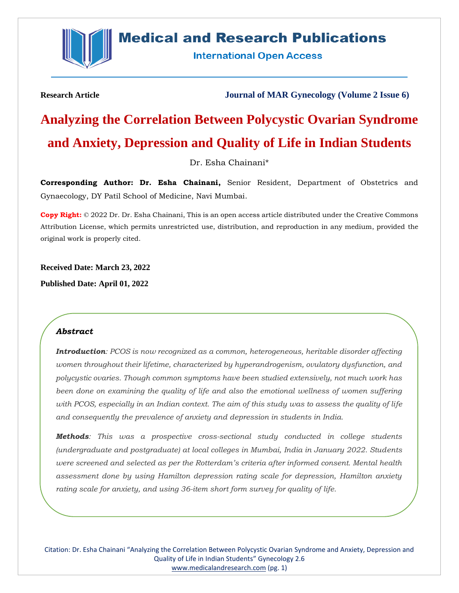

# **Medical and Research Publications**

**International Open Access** 

**Research Article Journal of MAR Gynecology (Volume 2 Issue 6)**

# **Analyzing the Correlation Between Polycystic Ovarian Syndrome and Anxiety, Depression and Quality of Life in Indian Students**

Dr. Esha Chainani\*

**Corresponding Author: Dr. Esha Chainani,** Senior Resident, Department of Obstetrics and Gynaecology, DY Patil School of Medicine, Navi Mumbai.

**Copy Right:** © 2022 Dr. Dr. Esha Chainani, This is an open access article distributed under the Creative Commons Attribution License, which permits unrestricted use, distribution, and reproduction in any medium, provided the original work is properly cited.

**Received Date: March 23, 2022 Published Date: April 01, 2022**

# *Abstract*

*Introduction: PCOS is now recognized as a common, heterogeneous, heritable disorder affecting women throughout their lifetime, characterized by hyperandrogenism, ovulatory dysfunction, and polycystic ovaries. Though common symptoms have been studied extensively, not much work has been done on examining the quality of life and also the emotional wellness of women suffering with PCOS, especially in an Indian context. The aim of this study was to assess the quality of life and consequently the prevalence of anxiety and depression in students in India.*

*Methods: This was a prospective cross-sectional study conducted in college students (undergraduate and postgraduate) at local colleges in Mumbai, India in January 2022. Students were screened and selected as per the Rotterdam's criteria after informed consent. Mental health assessment done by using Hamilton depression rating scale for depression, Hamilton anxiety rating scale for anxiety, and using 36-item short form survey for quality of life.*

Citation: Dr. Esha Chainani "Analyzing the Correlation Between Polycystic Ovarian Syndrome and Anxiety, Depression and Quality of Life in Indian Students" Gynecology 2.6 [www.medicalandresearch.com](http://www.medicalandresearch.com/) (pg. 1)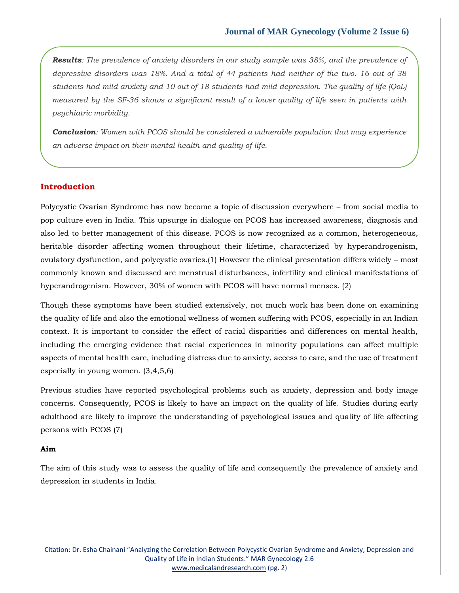*Results: The prevalence of anxiety disorders in our study sample was 38%, and the prevalence of depressive disorders was 18%. And a total of 44 patients had neither of the two. 16 out of 38 students had mild anxiety and 10 out of 18 students had mild depression. The quality of life (QoL) measured by the SF-36 shows a significant result of a lower quality of life seen in patients with psychiatric morbidity.* 

*Conclusion: Women with PCOS should be considered a vulnerable population that may experience an adverse impact on their mental health and quality of life.*

# **Introduction**

Polycystic Ovarian Syndrome has now become a topic of discussion everywhere – from social media to pop culture even in India. This upsurge in dialogue on PCOS has increased awareness, diagnosis and also led to better management of this disease. PCOS is now recognized as a common, heterogeneous, heritable disorder affecting women throughout their lifetime, characterized by hyperandrogenism, ovulatory dysfunction, and polycystic ovaries.(1) However the clinical presentation differs widely – most commonly known and discussed are menstrual disturbances, infertility and clinical manifestations of hyperandrogenism. However, 30% of women with PCOS will have normal menses. (2)

Though these symptoms have been studied extensively, not much work has been done on examining the quality of life and also the emotional wellness of women suffering with PCOS, especially in an Indian context. It is important to consider the effect of racial disparities and differences on mental health, including the emerging evidence that racial experiences in minority populations can affect multiple aspects of mental health care, including distress due to anxiety, access to care, and the use of treatment especially in young women. (3,4,5,6)

Previous studies have reported psychological problems such as anxiety, depression and body image concerns. Consequently, PCOS is likely to have an impact on the quality of life. Studies during early adulthood are likely to improve the understanding of psychological issues and quality of life affecting persons with PCOS (7)

#### **Aim**

The aim of this study was to assess the quality of life and consequently the prevalence of anxiety and depression in students in India.

Citation: Dr. Esha Chainani "Analyzing the Correlation Between Polycystic Ovarian Syndrome and Anxiety, Depression and Quality of Life in Indian Students." MAR Gynecology 2.6 [www.medicalandresearch.com](http://www.medicalandresearch.com/) (pg. 2)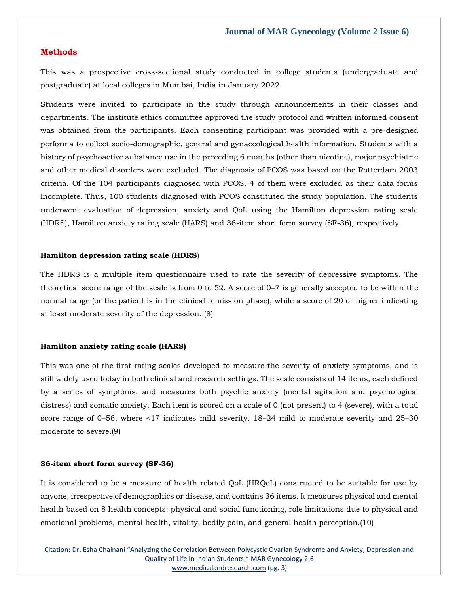#### **Methods**

This was a prospective cross-sectional study conducted in college students (undergraduate and postgraduate) at local colleges in Mumbai, India in January 2022.

Students were invited to participate in the study through announcements in their classes and departments. The institute ethics committee approved the study protocol and written informed consent was obtained from the participants. Each consenting participant was provided with a pre-designed performa to collect socio-demographic, general and gynaecological health information. Students with a history of psychoactive substance use in the preceding 6 months (other than nicotine), major psychiatric and other medical disorders were excluded. The diagnosis of PCOS was based on the Rotterdam 2003 criteria. Of the 104 participants diagnosed with PCOS, 4 of them were excluded as their data forms incomplete. Thus, 100 students diagnosed with PCOS constituted the study population. The students underwent evaluation of depression, anxiety and QoL using the Hamilton depression rating scale (HDRS), Hamilton anxiety rating scale (HARS) and 36-item short form survey (SF-36), respectively.

#### **Hamilton depression rating scale (HDRS**)

The HDRS is a multiple item questionnaire used to rate the severity of depressive symptoms. The theoretical score range of the scale is from 0 to 52. A score of 0–7 is generally accepted to be within the normal range (or the patient is in the clinical remission phase), while a score of 20 or higher indicating at least moderate severity of the depression. (8)

#### **Hamilton anxiety rating scale (HARS)**

This was one of the first rating scales developed to measure the severity of anxiety symptoms, and is still widely used today in both clinical and research settings. The scale consists of 14 items, each defined by a series of symptoms, and measures both psychic anxiety (mental agitation and psychological distress) and somatic anxiety. Each item is scored on a scale of 0 (not present) to 4 (severe), with a total score range of 0–56, where <17 indicates mild severity, 18–24 mild to moderate severity and 25–30 moderate to severe.(9)

#### **36-item short form survey (SF-36)**

It is considered to be a measure of health related QoL (HRQoL) constructed to be suitable for use by anyone, irrespective of demographics or disease, and contains 36 items. It measures physical and mental health based on 8 health concepts: physical and social functioning, role limitations due to physical and emotional problems, mental health, vitality, bodily pain, and general health perception.(10)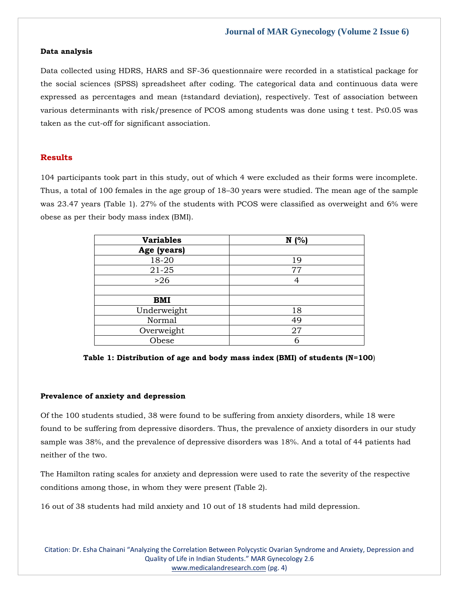#### **Data analysis**

Data collected using HDRS, HARS and SF-36 questionnaire were recorded in a statistical package for the social sciences (SPSS) spreadsheet after coding. The categorical data and continuous data were expressed as percentages and mean (±standard deviation), respectively. Test of association between various determinants with risk/presence of PCOS among students was done using t test. P≤0.05 was taken as the cut-off for significant association.

# **Results**

104 participants took part in this study, out of which 4 were excluded as their forms were incomplete. Thus, a total of 100 females in the age group of 18–30 years were studied. The mean age of the sample was 23.47 years (Table 1). 27% of the students with PCOS were classified as overweight and 6% were obese as per their body mass index (BMI).

| <b>Variables</b> | N(% |
|------------------|-----|
| Age (years)      |     |
| 18-20            | 19  |
| $21 - 25$        | 77  |
| $>26$            | 4   |
|                  |     |
| <b>BMI</b>       |     |
| Underweight      | 18  |
| Normal           | 49  |
| Overweight       | 27  |
| Obese            | 6   |

**Table 1: Distribution of age and body mass index (BMI) of students (N=100**)

#### **Prevalence of anxiety and depression**

Of the 100 students studied, 38 were found to be suffering from anxiety disorders, while 18 were found to be suffering from depressive disorders. Thus, the prevalence of anxiety disorders in our study sample was 38%, and the prevalence of depressive disorders was 18%. And a total of 44 patients had neither of the two.

The Hamilton rating scales for anxiety and depression were used to rate the severity of the respective conditions among those, in whom they were present (Table 2).

16 out of 38 students had mild anxiety and 10 out of 18 students had mild depression.

Citation: Dr. Esha Chainani "Analyzing the Correlation Between Polycystic Ovarian Syndrome and Anxiety, Depression and Quality of Life in Indian Students." MAR Gynecology 2.6 [www.medicalandresearch.com](http://www.medicalandresearch.com/) (pg. 4)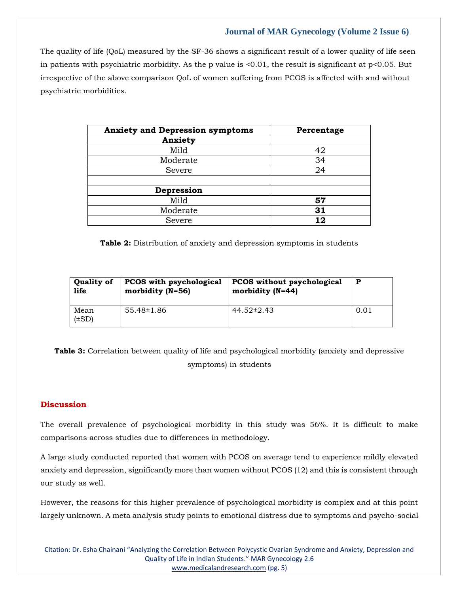The quality of life (QoL) measured by the SF-36 shows a significant result of a lower quality of life seen in patients with psychiatric morbidity. As the p value is  $\leq 0.01$ , the result is significant at p $\leq 0.05$ . But irrespective of the above comparison QoL of women suffering from PCOS is affected with and without psychiatric morbidities.

| <b>Anxiety and Depression symptoms</b> | Percentage |
|----------------------------------------|------------|
| Anxiety                                |            |
| Mild                                   | 42         |
| Moderate                               | 34         |
| Severe                                 | 24         |
|                                        |            |
| Depression                             |            |
| Mild                                   | 57         |
| Moderate                               | 31         |
| Severe                                 | 12         |

**Table 2:** Distribution of anxiety and depression symptoms in students

| <b>Quality of</b>  | PCOS with psychological | <b>PCOS</b> without psychological | P    |
|--------------------|-------------------------|-----------------------------------|------|
| life               | morbidity $(N=56)$      | morbidity $(N=44)$                |      |
| Mean<br>$(\pm SD)$ | 55.48±1.86              | 44.52±2.43                        | 0.01 |

**Table 3:** Correlation between quality of life and psychological morbidity (anxiety and depressive symptoms) in students

# **Discussion**

The overall prevalence of psychological morbidity in this study was 56%. It is difficult to make comparisons across studies due to differences in methodology.

A large study conducted reported that women with PCOS on average tend to experience mildly elevated anxiety and depression, significantly more than women without PCOS (12) and this is consistent through our study as well.

However, the reasons for this higher prevalence of psychological morbidity is complex and at this point largely unknown. A meta analysis study points to emotional distress due to symptoms and psycho-social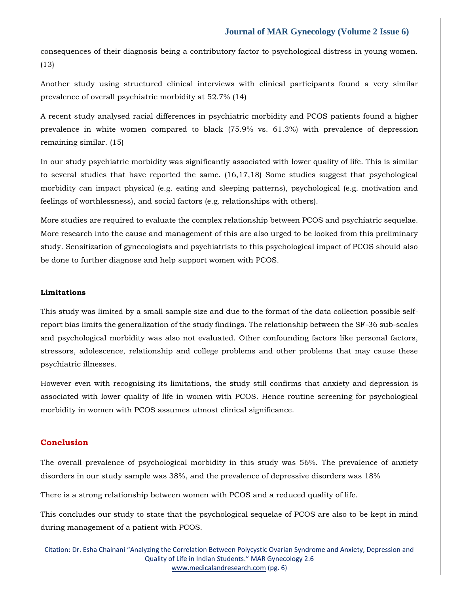consequences of their diagnosis being a contributory factor to psychological distress in young women. (13)

Another study using structured clinical interviews with clinical participants found a very similar prevalence of overall psychiatric morbidity at 52.7% (14)

A recent study analysed racial differences in psychiatric morbidity and PCOS patients found a higher prevalence in white women compared to black (75.9% vs. 61.3%) with prevalence of depression remaining similar. (15)

In our study psychiatric morbidity was significantly associated with lower quality of life. This is similar to several studies that have reported the same. (16,17,18) Some studies suggest that psychological morbidity can impact physical (e.g. eating and sleeping patterns), psychological (e.g. motivation and feelings of worthlessness), and social factors (e.g. relationships with others).

More studies are required to evaluate the complex relationship between PCOS and psychiatric sequelae. More research into the cause and management of this are also urged to be looked from this preliminary study. Sensitization of gynecologists and psychiatrists to this psychological impact of PCOS should also be done to further diagnose and help support women with PCOS.

#### **Limitations**

This study was limited by a small sample size and due to the format of the data collection possible selfreport bias limits the generalization of the study findings. The relationship between the SF-36 sub-scales and psychological morbidity was also not evaluated. Other confounding factors like personal factors, stressors, adolescence, relationship and college problems and other problems that may cause these psychiatric illnesses.

However even with recognising its limitations, the study still confirms that anxiety and depression is associated with lower quality of life in women with PCOS. Hence routine screening for psychological morbidity in women with PCOS assumes utmost clinical significance.

#### **Conclusion**

The overall prevalence of psychological morbidity in this study was 56%. The prevalence of anxiety disorders in our study sample was 38%, and the prevalence of depressive disorders was 18%

There is a strong relationship between women with PCOS and a reduced quality of life.

This concludes our study to state that the psychological sequelae of PCOS are also to be kept in mind during management of a patient with PCOS.

Citation: Dr. Esha Chainani "Analyzing the Correlation Between Polycystic Ovarian Syndrome and Anxiety, Depression and Quality of Life in Indian Students." MAR Gynecology 2.6 [www.medicalandresearch.com](http://www.medicalandresearch.com/) (pg. 6)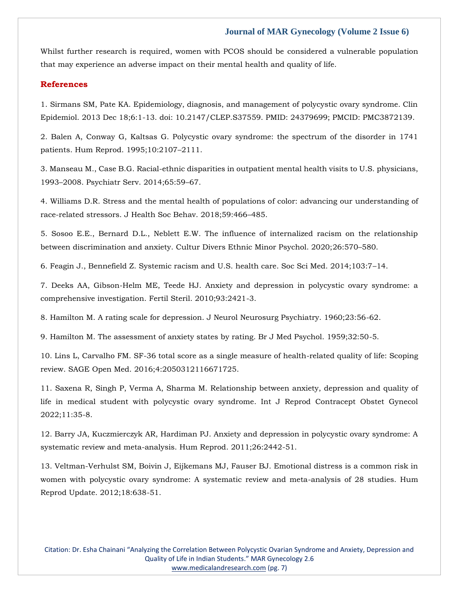Whilst further research is required, women with PCOS should be considered a vulnerable population that may experience an adverse impact on their mental health and quality of life.

#### **References**

[1. Sirmans SM, Pate KA. Epidemiology, diagnosis, and management of polycystic ovary syndrome. Clin](https://www.google.com/search?q=Epidemiology%2C+diagnosis%2C+and+management+of+polycystic+ovary+syndrome.+Clin+Epidemiol.+&sxsrf=APq-WBs5JOj04m1hroErX2hByJMBV77s5A%3A1648104249362&ei=ORM8YtTGFcyp2roPp46f0AM&ved=0ahUKEwiUx9fikt72AhXMlFYBHSfHBzoQ4dUDCA4&oq=Epidemiology%2C+diagnosis%2C+and+management+of+polycystic+ovary+syndrome.+Clin+Epidemiol.+&gs_lcp=Cgdnd3Mtd2l6EAw6BwgjEOoCECdKBAhBGABKBAhGGABQ2AFY2AFgtgloAXABeACAAZgBiAGYAZIBAzAuMZgBAKABAaABArABCsABAQ&sclient=gws-wiz)  [Epidemiol. 2013 Dec 18;6:1-13. doi: 10.2147/CLEP.S37559. PMID: 24379699; PMCID: PMC3872139.](https://www.google.com/search?q=Epidemiology%2C+diagnosis%2C+and+management+of+polycystic+ovary+syndrome.+Clin+Epidemiol.+&sxsrf=APq-WBs5JOj04m1hroErX2hByJMBV77s5A%3A1648104249362&ei=ORM8YtTGFcyp2roPp46f0AM&ved=0ahUKEwiUx9fikt72AhXMlFYBHSfHBzoQ4dUDCA4&oq=Epidemiology%2C+diagnosis%2C+and+management+of+polycystic+ovary+syndrome.+Clin+Epidemiol.+&gs_lcp=Cgdnd3Mtd2l6EAw6BwgjEOoCECdKBAhBGABKBAhGGABQ2AFY2AFgtgloAXABeACAAZgBiAGYAZIBAzAuMZgBAKABAaABArABCsABAQ&sclient=gws-wiz)

[2. Balen A, Conway G, Kaltsas G. Polycystic ovary syndrome: the spectrum of the disorder in 1741](https://www.google.com/search?q=Polycystic+ovary+syndrome%3A+the+spectrum+of+the+disorder+in+1741+patients.+&sxsrf=APq-WBsCkt0NQ6rYX4zMegDcsWQCI5W35g%3A1648104234341&ei=KhM8Yv-0FOXn2roPo5WXwAI&ved=0ahUKEwj_8cLbkt72AhXls1YBHaPKBSgQ4dUDCA4&oq=Polycystic+ovary+syndrome%3A+the+spectrum+of+the+disorder+in+1741+patients.+&gs_lcp=Cgdnd3Mtd2l6EAw6BwgjEOoCECdKBAhBGABKBAhGGABQ9AJY9AJg5ApoAXAAeACAAacBiAGnAZIBAzAuMZgBAKABAaABArABCsABAQ&sclient=gws-wiz)  [patients. Hum Reprod. 1995;10:2107](https://www.google.com/search?q=Polycystic+ovary+syndrome%3A+the+spectrum+of+the+disorder+in+1741+patients.+&sxsrf=APq-WBsCkt0NQ6rYX4zMegDcsWQCI5W35g%3A1648104234341&ei=KhM8Yv-0FOXn2roPo5WXwAI&ved=0ahUKEwj_8cLbkt72AhXls1YBHaPKBSgQ4dUDCA4&oq=Polycystic+ovary+syndrome%3A+the+spectrum+of+the+disorder+in+1741+patients.+&gs_lcp=Cgdnd3Mtd2l6EAw6BwgjEOoCECdKBAhBGABKBAhGGABQ9AJY9AJg5ApoAXAAeACAAacBiAGnAZIBAzAuMZgBAKABAaABArABCsABAQ&sclient=gws-wiz)–2111.

[3. Manseau M., Case B.G. Racial-ethnic disparities in outpatient mental health visits to U.S. physicians,](https://www.google.com/search?q=Racial-ethnic+disparities+in+outpatient+mental+health+visits+to+U.S.&sxsrf=APq-WBuL1-Xoi_mjHq8VBzqMYRJzwuejjA%3A1648104219634&ei=GxM8YoKfJobg2roP2cSX2AE&ved=0ahUKEwjCmMHUkt72AhUGsFYBHVniBRsQ4dUDCA4&oq=Racial-ethnic+disparities+in+outpatient+mental+health+visits+to+U.S.&gs_lcp=Cgdnd3Mtd2l6EAw6BwgjEOoCECdKBAhBGABKBAhGGABQzgFYzgFgwQdoAXAAeACAAagBiAGoAZIBAzAuMZgBAKABAaABArABCsABAQ&sclient=gws-wiz)  1993–[2008. Psychiatr Serv. 2014;65:59](https://www.google.com/search?q=Racial-ethnic+disparities+in+outpatient+mental+health+visits+to+U.S.&sxsrf=APq-WBuL1-Xoi_mjHq8VBzqMYRJzwuejjA%3A1648104219634&ei=GxM8YoKfJobg2roP2cSX2AE&ved=0ahUKEwjCmMHUkt72AhUGsFYBHVniBRsQ4dUDCA4&oq=Racial-ethnic+disparities+in+outpatient+mental+health+visits+to+U.S.&gs_lcp=Cgdnd3Mtd2l6EAw6BwgjEOoCECdKBAhBGABKBAhGGABQzgFYzgFgwQdoAXAAeACAAagBiAGoAZIBAzAuMZgBAKABAaABArABCsABAQ&sclient=gws-wiz)–67.

[4. Williams D.R. Stress and the mental health of populations of color: advancing our understanding of](https://www.google.com/search?q=Stress+and+the+mental+health+of+populations+of+color%3A+advancing+our+understanding+of+race-related+stressors&sxsrf=APq-WBuMsbLvz7tYCylU3pCGdCbRQI0A7w%3A1648104206552&ei=DhM8YqWZIc7e2roPooSHgAE&ved=0ahUKEwil2KLOkt72AhVOr1YBHSLCARAQ4dUDCA4&oq=Stress+and+the+mental+health+of+populations+of+color%3A+advancing+our+understanding+of+race-related+stressors&gs_lcp=Cgdnd3Mtd2l6EAwyBwgjEOoCECcyBwgjEOoCECcyBwgjEOoCECcyBwgjEOoCECcyBwgjEOoCECcyBwgjEOoCECcyBwgjEOoCECcyBwgjEOoCECcyBwgjEOoCECcyBwgjEOoCECdKBAhBGABKBAhGGABQvAFYvAFg3whoAXAAeACAAQCIAQCSAQCYAQCgAQGgAQKwAQrAAQE&sclient=gws-wiz)  [race-related stressors. J Health Soc Behav. 2018;59:466](https://www.google.com/search?q=Stress+and+the+mental+health+of+populations+of+color%3A+advancing+our+understanding+of+race-related+stressors&sxsrf=APq-WBuMsbLvz7tYCylU3pCGdCbRQI0A7w%3A1648104206552&ei=DhM8YqWZIc7e2roPooSHgAE&ved=0ahUKEwil2KLOkt72AhVOr1YBHSLCARAQ4dUDCA4&oq=Stress+and+the+mental+health+of+populations+of+color%3A+advancing+our+understanding+of+race-related+stressors&gs_lcp=Cgdnd3Mtd2l6EAwyBwgjEOoCECcyBwgjEOoCECcyBwgjEOoCECcyBwgjEOoCECcyBwgjEOoCECcyBwgjEOoCECcyBwgjEOoCECcyBwgjEOoCECcyBwgjEOoCECcyBwgjEOoCECdKBAhBGABKBAhGGABQvAFYvAFg3whoAXAAeACAAQCIAQCSAQCYAQCgAQGgAQKwAQrAAQE&sclient=gws-wiz)–485.

[5. Sosoo E.E., Bernard D.L., Neblett E.W. The influence of internalized racism on the relationship](https://www.google.com/search?q=The+influence+of+internalized+racism+on+the+relationship+between+discrimination+and+anxiety&sxsrf=APq-WBuIoUo0w-1fj5xv2WQkjzwZzFqiEA%3A1648104192082&ei=ABM8YpzCBKXh2roPwtSH2Ag&ved=0ahUKEwicwq_Hkt72AhWlsFYBHULqAYsQ4dUDCA4&oq=The+influence+of+internalized+racism+on+the+relationship+between+discrimination+and+anxiety&gs_lcp=Cgdnd3Mtd2l6EAw6BwgjEOoCECdKBAhBGABKBAhGGABQhAJYhAJg4gloAXABeACAAYUBiAGFAZIBAzAuMZgBAKABAaABArABCsABAQ&sclient=gws-wiz)  [between discrimination and anxiety. Cultur Divers Ethnic Minor Psychol. 2020;26:570](https://www.google.com/search?q=The+influence+of+internalized+racism+on+the+relationship+between+discrimination+and+anxiety&sxsrf=APq-WBuIoUo0w-1fj5xv2WQkjzwZzFqiEA%3A1648104192082&ei=ABM8YpzCBKXh2roPwtSH2Ag&ved=0ahUKEwicwq_Hkt72AhWlsFYBHULqAYsQ4dUDCA4&oq=The+influence+of+internalized+racism+on+the+relationship+between+discrimination+and+anxiety&gs_lcp=Cgdnd3Mtd2l6EAw6BwgjEOoCECdKBAhBGABKBAhGGABQhAJYhAJg4gloAXABeACAAYUBiAGFAZIBAzAuMZgBAKABAaABArABCsABAQ&sclient=gws-wiz)–580.

[6. Feagin J., Bennefield Z. Systemic racism and U.S. health care. Soc Sci Med. 2014;103:7](https://www.google.com/search?q=Systemic+racism+and+U.S.+health+care&sxsrf=APq-WBvbE4RjCBRkysCCNJdsG1YMbDhpOA%3A1648104173072&ei=7RI8YpH1A_Dg2roP1deRsA4&ved=0ahUKEwjRn6e-kt72AhVwsFYBHdVrBOYQ4dUDCA4&oq=Systemic+racism+and+U.S.+health+care&gs_lcp=Cgdnd3Mtd2l6EAwyBQgAEIAEOgcIIxDqAhAnSgQIQRgASgQIRhgAULIBWLIBYNUHaAFwAHgAgAHlAYgB5QGSAQMyLTGYAQCgAQGgAQKwAQrAAQE&sclient=gws-wiz)–14.

[7. Deeks AA, Gibson-Helm ME, Teede HJ. Anxiety and depression in polycystic ovary syndrome: a](https://www.google.com/search?q=Anxiety+and+depression+in+polycystic+ovary+syndrome%3A+a+comprehensive+investigation&sxsrf=APq-WBt9s3NVOjwxegIEe2OyXebjzqRFRA%3A1648104160300&ei=4BI8YsjnEcbf2roPrum4mA4&ved=0ahUKEwjI15u4kt72AhXGr1YBHa40DuMQ4dUDCA4&oq=Anxiety+and+depression+in+polycystic+ovary+syndrome%3A+a+comprehensive+investigation&gs_lcp=Cgdnd3Mtd2l6EAwyBggAEBYQHjoHCCMQ6gIQJ0oECEEYAEoECEYYAFDhAVjhAWDMBmgBcAB4AIABpgGIAaYBkgEDMC4xmAEAoAEBoAECsAEKwAEB&sclient=gws-wiz)  [comprehensive investigation. Fertil Steril. 2010;93:2421-3.](https://www.google.com/search?q=Anxiety+and+depression+in+polycystic+ovary+syndrome%3A+a+comprehensive+investigation&sxsrf=APq-WBt9s3NVOjwxegIEe2OyXebjzqRFRA%3A1648104160300&ei=4BI8YsjnEcbf2roPrum4mA4&ved=0ahUKEwjI15u4kt72AhXGr1YBHa40DuMQ4dUDCA4&oq=Anxiety+and+depression+in+polycystic+ovary+syndrome%3A+a+comprehensive+investigation&gs_lcp=Cgdnd3Mtd2l6EAwyBggAEBYQHjoHCCMQ6gIQJ0oECEEYAEoECEYYAFDhAVjhAWDMBmgBcAB4AIABpgGIAaYBkgEDMC4xmAEAoAEBoAECsAEKwAEB&sclient=gws-wiz)

[8. Hamilton M. A rating scale for depression. J Neurol Neurosurg Psychiatry. 1960;23:56-62.](https://www.google.com/search?q=A+rating+scale+for+depression&sxsrf=APq-WBu-EleiP9iYFqQD0KlFacb1lv6IdA%3A1648104148082&ei=1BI8YrjHBOze2roPsfO8qAM&ved=0ahUKEwi4gbKykt72AhVsr1YBHbE5DzUQ4dUDCA4&oq=A+rating+scale+for+depression&gs_lcp=Cgdnd3Mtd2l6EAwyBQgAEIAEMgYIABAWEB4yBggAEBYQHjIGCAAQFhAeMgYIABAWEB4yBggAEBYQHjIGCAAQFhAeMgYIABAWEB46BwgjEOoCECdKBAhBGABKBAhGGABQ6QFY6QFg4AloAXABeACAAasBiAGrAZIBAzAuMZgBAKABAaABArABCsABAQ&sclient=gws-wiz)

[9. Hamilton M. The assessment of anxiety states by rating. Br J Med Psychol. 1959;32:50-5.](https://www.google.com/search?q=The+assessment+of+anxiety+states+by+rating&sxsrf=APq-WBto-58R82t5uwLko3Y2u6INUuYrWw%3A1648104135454&ei=xxI8Yo2OG6be2roPlsiYwAM&ved=0ahUKEwjNja-skt72AhUmr1YBHRYkBjgQ4dUDCA4&oq=The+assessment+of+anxiety+states+by+rating&gs_lcp=Cgdnd3Mtd2l6EAwyBQgAEIAEOgcIIxDqAhAnSgQIQRgASgQIRhgAULcBWLcBYIoGaAFwAXgAgAHiAYgB4gGSAQMyLTGYAQCgAQGgAQKwAQrAAQE&sclient=gws-wiz)

[10. Lins L, Carvalho FM. SF-36 total score as a single measure of health-related quality of life: Scoping](https://www.google.com/search?q=SF-36+total+score+as+a+single+measure+of+health-related+quality+of+life%3A+Scoping+review.+&sxsrf=APq-WBuJH9hNYYc9n1BYlRVHu6oNOTw-jg%3A1648104120858&ei=uBI8YsbkM73b2roPoLaYWA&ved=0ahUKEwjGoLSlkt72AhW9rVYBHSAbBgsQ4dUDCA4&oq=SF-36+total+score+as+a+single+measure+of+health-related+quality+of+life%3A+Scoping+review.+&gs_lcp=Cgdnd3Mtd2l6EAw6BwgjEOoCECdKBAhBGABKBAhGGABQzAFYzAFg-AhoAXAAeACAAZMBiAGTAZIBAzAuMZgBAKABAaABArABCsABAQ&sclient=gws-wiz)  [review. SAGE Open Med. 2016;4:2050312116671725.](https://www.google.com/search?q=SF-36+total+score+as+a+single+measure+of+health-related+quality+of+life%3A+Scoping+review.+&sxsrf=APq-WBuJH9hNYYc9n1BYlRVHu6oNOTw-jg%3A1648104120858&ei=uBI8YsbkM73b2roPoLaYWA&ved=0ahUKEwjGoLSlkt72AhW9rVYBHSAbBgsQ4dUDCA4&oq=SF-36+total+score+as+a+single+measure+of+health-related+quality+of+life%3A+Scoping+review.+&gs_lcp=Cgdnd3Mtd2l6EAw6BwgjEOoCECdKBAhBGABKBAhGGABQzAFYzAFg-AhoAXAAeACAAZMBiAGTAZIBAzAuMZgBAKABAaABArABCsABAQ&sclient=gws-wiz)

[11. Saxena R, Singh P, Verma A, Sharma M. Relationship between anxiety, depression and quality of](https://www.google.com/search?q=Relationship+between+anxiety%2C+depression+and+quality+of+life+in+medical+student+with+polycystic+ovary+syndrome.+&sxsrf=APq-WBsBZyGoBsgxM_ea5M5u6ZCE5cFDMw%3A1648104108938&ei=rBI8Yr_hOMGp2roP3_yK8As&ved=0ahUKEwi_59yfkt72AhXBlFYBHV--Ar4Q4dUDCA4&oq=Relationship+between+anxiety%2C+depression+and+quality+of+life+in+medical+student+with+polycystic+ovary+syndrome.+&gs_lcp=Cgdnd3Mtd2l6EAwyBwgjEOoCECcyBwgjEOoCECcyBwgjEOoCECcyBwgjEOoCECcyBwgjEOoCECcyBwgjEOoCECcyBwgjEOoCECcyBwgjEOoCECcyBwgjEOoCECcyBwgjEOoCECdKBAhBGABKBAhGGABQkgFYkgFgywdoAXABeACAAQCIAQCSAQCYAQCgAQGgAQKwAQrAAQE&sclient=gws-wiz)  [life in medical student with polycystic ovary syndrome. Int J Reprod Contracept Obstet Gynecol](https://www.google.com/search?q=Relationship+between+anxiety%2C+depression+and+quality+of+life+in+medical+student+with+polycystic+ovary+syndrome.+&sxsrf=APq-WBsBZyGoBsgxM_ea5M5u6ZCE5cFDMw%3A1648104108938&ei=rBI8Yr_hOMGp2roP3_yK8As&ved=0ahUKEwi_59yfkt72AhXBlFYBHV--Ar4Q4dUDCA4&oq=Relationship+between+anxiety%2C+depression+and+quality+of+life+in+medical+student+with+polycystic+ovary+syndrome.+&gs_lcp=Cgdnd3Mtd2l6EAwyBwgjEOoCECcyBwgjEOoCECcyBwgjEOoCECcyBwgjEOoCECcyBwgjEOoCECcyBwgjEOoCECcyBwgjEOoCECcyBwgjEOoCECcyBwgjEOoCECcyBwgjEOoCECdKBAhBGABKBAhGGABQkgFYkgFgywdoAXABeACAAQCIAQCSAQCYAQCgAQGgAQKwAQrAAQE&sclient=gws-wiz)  [2022;11:35-8.](https://www.google.com/search?q=Relationship+between+anxiety%2C+depression+and+quality+of+life+in+medical+student+with+polycystic+ovary+syndrome.+&sxsrf=APq-WBsBZyGoBsgxM_ea5M5u6ZCE5cFDMw%3A1648104108938&ei=rBI8Yr_hOMGp2roP3_yK8As&ved=0ahUKEwi_59yfkt72AhXBlFYBHV--Ar4Q4dUDCA4&oq=Relationship+between+anxiety%2C+depression+and+quality+of+life+in+medical+student+with+polycystic+ovary+syndrome.+&gs_lcp=Cgdnd3Mtd2l6EAwyBwgjEOoCECcyBwgjEOoCECcyBwgjEOoCECcyBwgjEOoCECcyBwgjEOoCECcyBwgjEOoCECcyBwgjEOoCECcyBwgjEOoCECcyBwgjEOoCECcyBwgjEOoCECdKBAhBGABKBAhGGABQkgFYkgFgywdoAXABeACAAQCIAQCSAQCYAQCgAQGgAQKwAQrAAQE&sclient=gws-wiz)

[12. Barry JA, Kuczmierczyk AR, Hardiman PJ. Anxiety and depression in polycystic ovary syndrome: A](https://www.google.com/search?q=Anxiety+and+depression+in+polycystic+ovary+syndrome%3A+A+systematic+review+and+meta-analysis.+&sxsrf=APq-WBsXfMpZSXleFppJ7_LXltkq6owXEw%3A1648104094478&ei=nhI8YofKHL-n2roPx9OTsAU&ved=0ahUKEwiHkeqYkt72AhW_k1YBHcfpBFYQ4dUDCA4&oq=Anxiety+and+depression+in+polycystic+ovary+syndrome%3A+A+systematic+review+and+meta-analysis.+&gs_lcp=Cgdnd3Mtd2l6EAwyBAgAEB46BwgjEOoCECdKBAhBGABKBAhGGABQ2AFY2AFgsgloAXABeACAAa0BiAGtAZIBAzAuMZgBAKABAaABArABCsABAQ&sclient=gws-wiz)  [systematic review and meta-analysis. Hum Reprod. 2011;26:2442-51.](https://www.google.com/search?q=Anxiety+and+depression+in+polycystic+ovary+syndrome%3A+A+systematic+review+and+meta-analysis.+&sxsrf=APq-WBsXfMpZSXleFppJ7_LXltkq6owXEw%3A1648104094478&ei=nhI8YofKHL-n2roPx9OTsAU&ved=0ahUKEwiHkeqYkt72AhW_k1YBHcfpBFYQ4dUDCA4&oq=Anxiety+and+depression+in+polycystic+ovary+syndrome%3A+A+systematic+review+and+meta-analysis.+&gs_lcp=Cgdnd3Mtd2l6EAwyBAgAEB46BwgjEOoCECdKBAhBGABKBAhGGABQ2AFY2AFgsgloAXABeACAAa0BiAGtAZIBAzAuMZgBAKABAaABArABCsABAQ&sclient=gws-wiz)

[13. Veltman-Verhulst SM, Boivin J, Eijkemans MJ, Fauser BJ. Emotional distress is a common risk in](https://www.google.com/search?q=Emotional+distress+is+a+common+risk+in+women+with+polycystic+ovary+syndrome%3A+A+systematic+review+and+meta-analysis+of+28+studies&sxsrf=APq-WBtj0yi24BjCa6UP7M3eSKt8sSllqQ%3A1648104080334&ei=kBI8Yp_4E86R2roPzbCOwAw&ved=0ahUKEwifgIuSkt72AhXOiFYBHU2YA8gQ4dUDCA4&oq=Emotional+distress+is+a+common+risk+in+women+with+polycystic+ovary+syndrome%3A+A+systematic+review+and+meta-analysis+of+28+studies&gs_lcp=Cgdnd3Mtd2l6EAwyBwgjEOoCECcyBwgjEOoCECcyBwgjEOoCECcyBwgjEOoCECcyBwgjEOoCECcyBwgjEOoCECcyBwgjEOoCECcyBwgjEOoCECcyBwgjEOoCECcyBwgjEOoCECdKBAhBGABKBAhGGABQtAZYtAZguwtoAXABeACAAQCIAQCSAQCYAQCgAQGgAQKwAQrAAQE&sclient=gws-wiz)  women with polycystic [ovary syndrome: A systematic review and meta-analysis of 28 studies. Hum](https://www.google.com/search?q=Emotional+distress+is+a+common+risk+in+women+with+polycystic+ovary+syndrome%3A+A+systematic+review+and+meta-analysis+of+28+studies&sxsrf=APq-WBtj0yi24BjCa6UP7M3eSKt8sSllqQ%3A1648104080334&ei=kBI8Yp_4E86R2roPzbCOwAw&ved=0ahUKEwifgIuSkt72AhXOiFYBHU2YA8gQ4dUDCA4&oq=Emotional+distress+is+a+common+risk+in+women+with+polycystic+ovary+syndrome%3A+A+systematic+review+and+meta-analysis+of+28+studies&gs_lcp=Cgdnd3Mtd2l6EAwyBwgjEOoCECcyBwgjEOoCECcyBwgjEOoCECcyBwgjEOoCECcyBwgjEOoCECcyBwgjEOoCECcyBwgjEOoCECcyBwgjEOoCECcyBwgjEOoCECcyBwgjEOoCECdKBAhBGABKBAhGGABQtAZYtAZguwtoAXABeACAAQCIAQCSAQCYAQCgAQGgAQKwAQrAAQE&sclient=gws-wiz)  [Reprod Update. 2012;18:638-51.](https://www.google.com/search?q=Emotional+distress+is+a+common+risk+in+women+with+polycystic+ovary+syndrome%3A+A+systematic+review+and+meta-analysis+of+28+studies&sxsrf=APq-WBtj0yi24BjCa6UP7M3eSKt8sSllqQ%3A1648104080334&ei=kBI8Yp_4E86R2roPzbCOwAw&ved=0ahUKEwifgIuSkt72AhXOiFYBHU2YA8gQ4dUDCA4&oq=Emotional+distress+is+a+common+risk+in+women+with+polycystic+ovary+syndrome%3A+A+systematic+review+and+meta-analysis+of+28+studies&gs_lcp=Cgdnd3Mtd2l6EAwyBwgjEOoCECcyBwgjEOoCECcyBwgjEOoCECcyBwgjEOoCECcyBwgjEOoCECcyBwgjEOoCECcyBwgjEOoCECcyBwgjEOoCECcyBwgjEOoCECcyBwgjEOoCECdKBAhBGABKBAhGGABQtAZYtAZguwtoAXABeACAAQCIAQCSAQCYAQCgAQGgAQKwAQrAAQE&sclient=gws-wiz)